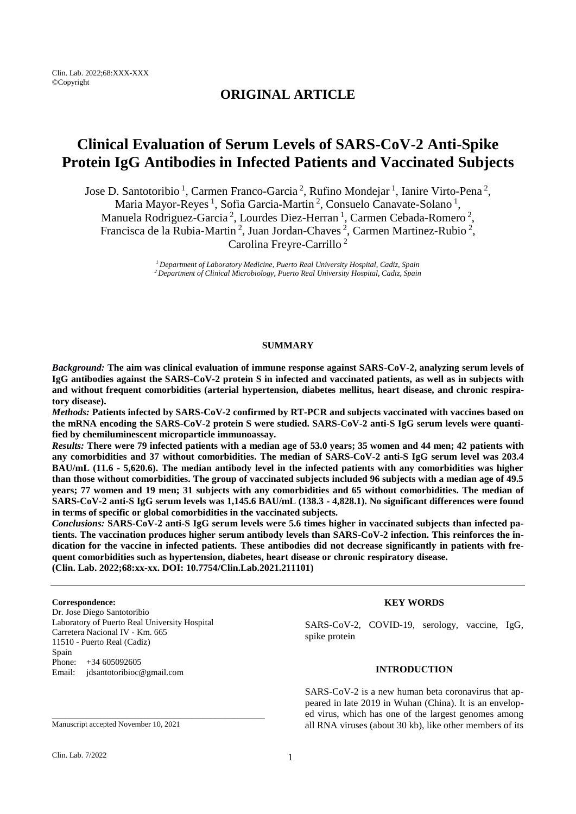Clin. Lab. 2022;68:XXX-XXX ©Copyright

# **ORIGINAL ARTICLE**

# **Clinical Evaluation of Serum Levels of SARS-CoV-2 Anti-Spike Protein IgG Antibodies in Infected Patients and Vaccinated Subjects**

Jose D. Santotoribio<sup>1</sup>, Carmen Franco-Garcia<sup>2</sup>, Rufino Mondejar<sup>1</sup>, Ianire Virto-Pena<sup>2</sup>,

Maria Mayor-Reyes<sup>1</sup>, Sofia Garcia-Martin<sup>2</sup>, Consuelo Canavate-Solano<sup>1</sup>,

Manuela Rodriguez-Garcia<sup>2</sup>, Lourdes Diez-Herran<sup>1</sup>, Carmen Cebada-Romero<sup>2</sup>,

Francisca de la Rubia-Martin<sup>2</sup>, Juan Jordan-Chaves<sup>2</sup>, Carmen Martinez-Rubio<sup>2</sup>,

Carolina Freyre-Carrillo <sup>2</sup>

*<sup>1</sup>Department of Laboratory Medicine, Puerto Real University Hospital, Cadiz, Spain <sup>2</sup>Department of Clinical Microbiology, Puerto Real University Hospital, Cadiz, Spain*

# **SUMMARY**

*Background:* **The aim was clinical evaluation of immune response against SARS-CoV-2, analyzing serum levels of IgG antibodies against the SARS-CoV-2 protein S in infected and vaccinated patients, as well as in subjects with and without frequent comorbidities (arterial hypertension, diabetes mellitus, heart disease, and chronic respiratory disease).**

*Methods:* **Patients infected by SARS-CoV-2 confirmed by RT-PCR and subjects vaccinated with vaccines based on the mRNA encoding the SARS-CoV-2 protein S were studied. SARS-CoV-2 anti-S IgG serum levels were quantified by chemiluminescent microparticle immunoassay.**

*Results:* **There were 79 infected patients with a median age of 53.0 years; 35 women and 44 men; 42 patients with any comorbidities and 37 without comorbidities. The median of SARS-CoV-2 anti-S IgG serum level was 203.4 BAU/mL (11.6 - 5,620.6). The median antibody level in the infected patients with any comorbidities was higher than those without comorbidities. The group of vaccinated subjects included 96 subjects with a median age of 49.5 years; 77 women and 19 men; 31 subjects with any comorbidities and 65 without comorbidities. The median of SARS-CoV-2 anti-S IgG serum levels was 1,145.6 BAU/mL (138.3 - 4,828.1). No significant differences were found in terms of specific or global comorbidities in the vaccinated subjects.**

*Conclusions:* **SARS-CoV-2 anti-S IgG serum levels were 5.6 times higher in vaccinated subjects than infected patients. The vaccination produces higher serum antibody levels than SARS-CoV-2 infection. This reinforces the indication for the vaccine in infected patients. These antibodies did not decrease significantly in patients with frequent comorbidities such as hypertension, diabetes, heart disease or chronic respiratory disease. (Clin. Lab. 2022;68:xx-xx. DOI: 10.7754/Clin.Lab.2021.211101)**

#### **Correspondence:**

Dr. Jose Diego Santotoribio Laboratory of Puerto Real University Hospital Carretera Nacional IV - Km. 665 11510 - Puerto Real (Cadiz) Spain Phone: +34 605092605 Email: [jdsantotoribioc@gmail.com](mailto:jdsantotoribioc@gmail.com)

\_\_\_\_\_\_\_\_\_\_\_\_\_\_\_\_\_\_\_\_\_\_\_\_\_\_\_\_\_\_\_\_\_\_\_\_\_\_\_\_\_\_\_\_\_\_\_\_\_\_\_\_\_\_\_

**KEY WORDS**

SARS-CoV-2, COVID-19, serology, vaccine, IgG, spike protein

#### **INTRODUCTION**

SARS-CoV-2 is a new human beta coronavirus that appeared in late 2019 in Wuhan (China). It is an enveloped virus, which has one of the largest genomes among all RNA viruses (about 30 kb), like other members of its

Manuscript accepted November 10, 2021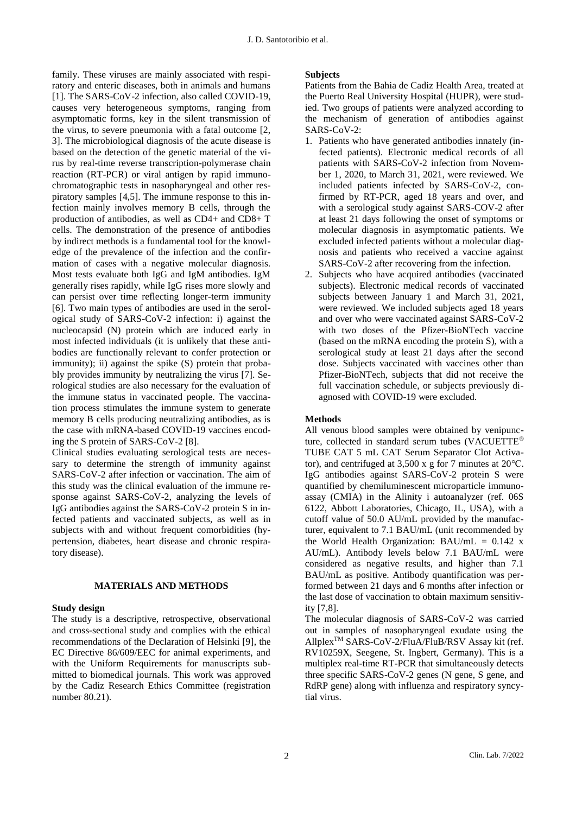family. These viruses are mainly associated with respiratory and enteric diseases, both in animals and humans [1]. The SARS-CoV-2 infection, also called COVID-19, causes very heterogeneous symptoms, ranging from asymptomatic forms, key in the silent transmission of the virus, to severe pneumonia with a fatal outcome [2, 3]. The microbiological diagnosis of the acute disease is based on the detection of the genetic material of the virus by real-time reverse transcription-polymerase chain reaction (RT-PCR) or viral antigen by rapid immunochromatographic tests in nasopharyngeal and other respiratory samples [4,5]. The immune response to this infection mainly involves memory B cells, through the production of antibodies, as well as CD4+ and CD8+ T cells. The demonstration of the presence of antibodies by indirect methods is a fundamental tool for the knowledge of the prevalence of the infection and the confirmation of cases with a negative molecular diagnosis. Most tests evaluate both IgG and IgM antibodies. IgM generally rises rapidly, while IgG rises more slowly and can persist over time reflecting longer-term immunity [6]. Two main types of antibodies are used in the serological study of SARS-CoV-2 infection: i) against the nucleocapsid (N) protein which are induced early in most infected individuals (it is unlikely that these antibodies are functionally relevant to confer protection or immunity); ii) against the spike (S) protein that probably provides immunity by neutralizing the virus [7]. Serological studies are also necessary for the evaluation of the immune status in vaccinated people. The vaccination process stimulates the immune system to generate memory B cells producing neutralizing antibodies, as is the case with mRNA-based COVID-19 vaccines encoding the S protein of SARS-CoV-2 [8].

Clinical studies evaluating serological tests are necessary to determine the strength of immunity against SARS-CoV-2 after infection or vaccination. The aim of this study was the clinical evaluation of the immune response against SARS-CoV-2, analyzing the levels of IgG antibodies against the SARS-CoV-2 protein S in infected patients and vaccinated subjects, as well as in subjects with and without frequent comorbidities (hypertension, diabetes, heart disease and chronic respiratory disease).

## **MATERIALS AND METHODS**

#### **Study design**

The study is a descriptive, retrospective, observational and cross-sectional study and complies with the ethical recommendations of the Declaration of Helsinki [9], the EC Directive 86/609/EEC for animal experiments, and with the Uniform Requirements for manuscripts submitted to biomedical journals. This work was approved by the Cadiz Research Ethics Committee (registration number 80.21).

#### **Subjects**

Patients from the Bahia de Cadiz Health Area, treated at the Puerto Real University Hospital (HUPR), were studied. Two groups of patients were analyzed according to the mechanism of generation of antibodies against SARS-CoV-2:

- 1. Patients who have generated antibodies innately (infected patients). Electronic medical records of all patients with SARS-CoV-2 infection from November 1, 2020, to March 31, 2021, were reviewed. We included patients infected by SARS-CoV-2, confirmed by RT-PCR, aged 18 years and over, and with a serological study against SARS-COV-2 after at least 21 days following the onset of symptoms or molecular diagnosis in asymptomatic patients. We excluded infected patients without a molecular diagnosis and patients who received a vaccine against SARS-CoV-2 after recovering from the infection.
- 2. Subjects who have acquired antibodies (vaccinated subjects). Electronic medical records of vaccinated subjects between January 1 and March 31, 2021, were reviewed. We included subjects aged 18 years and over who were vaccinated against SARS-CoV-2 with two doses of the Pfizer-BioNTech vaccine (based on the mRNA encoding the protein S), with a serological study at least 21 days after the second dose. Subjects vaccinated with vaccines other than Pfizer-BioNTech, subjects that did not receive the full vaccination schedule, or subjects previously diagnosed with COVID-19 were excluded.

## **Methods**

All venous blood samples were obtained by venipuncture, collected in standard serum tubes (VACUETTE® TUBE CAT 5 mL CAT Serum Separator Clot Activator), and centrifuged at 3,500 x g for 7 minutes at 20℃. IgG antibodies against SARS-CoV-2 protein S were quantified by chemiluminescent microparticle immunoassay (CMIA) in the Alinity i autoanalyzer (ref. 06S 6122, Abbott Laboratories, Chicago, IL, USA), with a cutoff value of 50.0 AU/mL provided by the manufacturer, equivalent to 7.1 BAU/mL (unit recommended by the World Health Organization:  $BAU/mL = 0.142 x$ AU/mL). Antibody levels below 7.1 BAU/mL were considered as negative results, and higher than 7.1 BAU/mL as positive. Antibody quantification was performed between 21 days and 6 months after infection or the last dose of vaccination to obtain maximum sensitivity [7,8].

The molecular diagnosis of SARS-CoV-2 was carried out in samples of nasopharyngeal exudate using the AllplexTM SARS-CoV-2/FluA/FluB/RSV Assay kit (ref. RV10259X, Seegene, St. Ingbert, Germany). This is a multiplex real-time RT-PCR that simultaneously detects three specific SARS-CoV-2 genes (N gene, S gene, and RdRP gene) along with influenza and respiratory syncytial virus.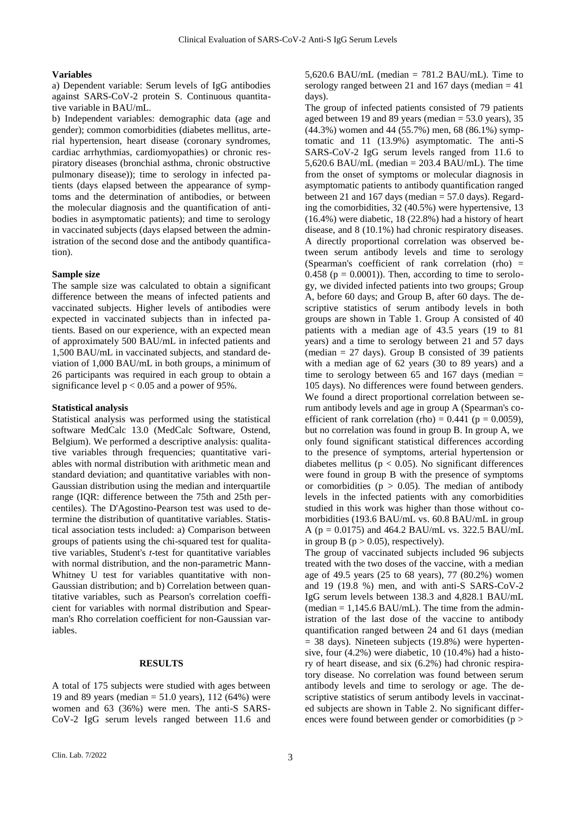## **Variables**

a) Dependent variable: Serum levels of IgG antibodies against SARS-CoV-2 protein S. Continuous quantitative variable in BAU/mL.

b) Independent variables: demographic data (age and gender); common comorbidities (diabetes mellitus, arterial hypertension, heart disease (coronary syndromes, cardiac arrhythmias, cardiomyopathies) or chronic respiratory diseases (bronchial asthma, chronic obstructive pulmonary disease)); time to serology in infected patients (days elapsed between the appearance of symptoms and the determination of antibodies, or between the molecular diagnosis and the quantification of antibodies in asymptomatic patients); and time to serology in vaccinated subjects (days elapsed between the administration of the second dose and the antibody quantification).

#### **Sample size**

The sample size was calculated to obtain a significant difference between the means of infected patients and vaccinated subjects. Higher levels of antibodies were expected in vaccinated subjects than in infected patients. Based on our experience, with an expected mean of approximately 500 BAU/mL in infected patients and 1,500 BAU/mL in vaccinated subjects, and standard deviation of 1,000 BAU/mL in both groups, a minimum of 26 participants was required in each group to obtain a significance level  $p < 0.05$  and a power of 95%.

#### **Statistical analysis**

Statistical analysis was performed using the statistical software MedCalc 13.0 (MedCalc Software, Ostend, Belgium). We performed a descriptive analysis: qualitative variables through frequencies; quantitative variables with normal distribution with arithmetic mean and standard deviation; and quantitative variables with non-Gaussian distribution using the median and interquartile range (IQR: difference between the 75th and 25th percentiles). The D'Agostino-Pearson test was used to determine the distribution of quantitative variables. Statistical association tests included: a) Comparison between groups of patients using the chi-squared test for qualitative variables, Student's *t*-test for quantitative variables with normal distribution, and the non-parametric Mann-Whitney U test for variables quantitative with non-Gaussian distribution; and b) Correlation between quantitative variables, such as Pearson's correlation coefficient for variables with normal distribution and Spearman's Rho correlation coefficient for non-Gaussian variables.

## **RESULTS**

A total of 175 subjects were studied with ages between 19 and 89 years (median  $= 51.0$  years), 112 (64%) were women and 63 (36%) were men. The anti-S SARS-CoV-2 IgG serum levels ranged between 11.6 and 5,620.6 BAU/mL (median  $= 781.2$  BAU/mL). Time to serology ranged between 21 and 167 days (median  $=$  41 days).

The group of infected patients consisted of 79 patients aged between 19 and 89 years (median  $= 53.0$  years), 35 (44.3%) women and 44 (55.7%) men, 68 (86.1%) symptomatic and 11 (13.9%) asymptomatic. The anti-S SARS-CoV-2 IgG serum levels ranged from 11.6 to 5,620.6 BAU/mL (median =  $203.4$  BAU/mL). The time from the onset of symptoms or molecular diagnosis in asymptomatic patients to antibody quantification ranged between 21 and 167 days (median  $= 57.0$  days). Regarding the comorbidities, 32 (40.5%) were hypertensive, 13 (16.4%) were diabetic, 18 (22.8%) had a history of heart disease, and 8 (10.1%) had chronic respiratory diseases. A directly proportional correlation was observed between serum antibody levels and time to serology (Spearman's coefficient of rank correlation (rho) = 0.458 ( $p = 0.0001$ )). Then, according to time to serology, we divided infected patients into two groups; Group A, before 60 days; and Group B, after 60 days. The descriptive statistics of serum antibody levels in both groups are shown in Table 1. Group A consisted of 40 patients with a median age of 43.5 years (19 to 81 years) and a time to serology between 21 and 57 days (median  $= 27$  days). Group B consisted of 39 patients with a median age of 62 years (30 to 89 years) and a time to serology between 65 and 167 days (median  $=$ 105 days). No differences were found between genders. We found a direct proportional correlation between serum antibody levels and age in group A (Spearman's coefficient of rank correlation (rho) =  $0.441$  (p =  $0.0059$ ), but no correlation was found in group B. In group A, we only found significant statistical differences according to the presence of symptoms, arterial hypertension or diabetes mellitus ( $p < 0.05$ ). No significant differences were found in group B with the presence of symptoms or comorbidities ( $p > 0.05$ ). The median of antibody levels in the infected patients with any comorbidities studied in this work was higher than those without comorbidities (193.6 BAU/mL vs. 60.8 BAU/mL in group A (p = 0.0175) and 464.2 BAU/mL vs. 322.5 BAU/mL in group B ( $p > 0.05$ ), respectively).

The group of vaccinated subjects included 96 subjects treated with the two doses of the vaccine, with a median age of 49.5 years (25 to 68 years), 77 (80.2%) women and 19 (19.8 %) men, and with anti-S SARS-CoV-2 IgG serum levels between 138.3 and 4,828.1 BAU/mL  $(median = 1.145.6 BAU/mL)$ . The time from the administration of the last dose of the vaccine to antibody quantification ranged between 24 and 61 days (median  $= 38$  days). Nineteen subjects (19.8%) were hypertensive, four (4.2%) were diabetic, 10 (10.4%) had a history of heart disease, and six (6.2%) had chronic respiratory disease. No correlation was found between serum antibody levels and time to serology or age. The descriptive statistics of serum antibody levels in vaccinated subjects are shown in Table 2. No significant differences were found between gender or comorbidities (p >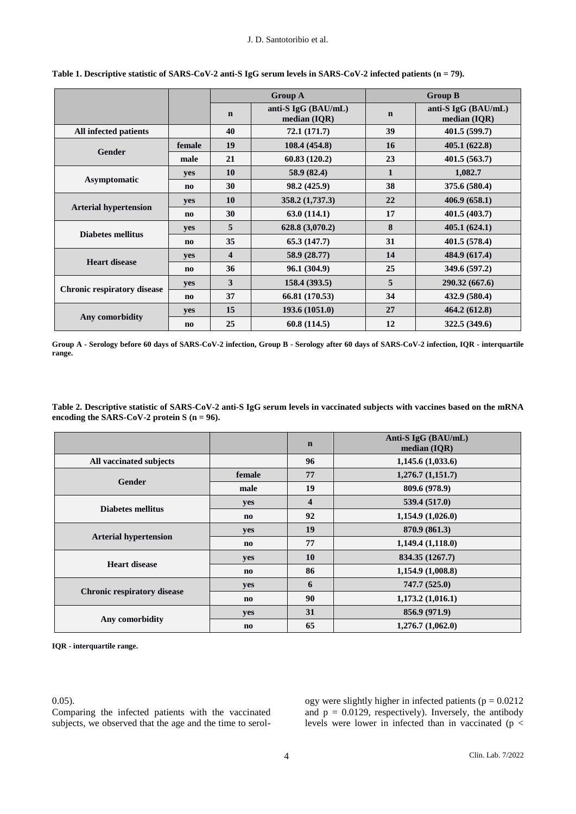|                                    |                        |                         | <b>Group A</b>                      | <b>Group B</b> |                                       |
|------------------------------------|------------------------|-------------------------|-------------------------------------|----------------|---------------------------------------|
|                                    |                        | $\mathbf n$             | anti-S IgG (BAU/mL)<br>median (IQR) | $\mathbf n$    | anti-S IgG (BAU/mL)<br>median $(IQR)$ |
| All infected patients              |                        | 40                      | 72.1(171.7)                         | 39             | 401.5(599.7)                          |
| <b>Gender</b>                      | female                 | 19                      | 108.4 (454.8)                       | <b>16</b>      | 405.1(622.8)                          |
|                                    | male                   | 21                      | 60.83(120.2)                        | 23             | 401.5(563.7)                          |
| Asymptomatic                       | yes                    | 10                      | 58.9 (82.4)                         | $\mathbf{1}$   | 1,082.7                               |
|                                    | $\mathbf{n}\mathbf{o}$ | 30                      | 98.2 (425.9)                        | 38             | 375.6 (580.4)                         |
| <b>Arterial hypertension</b>       | yes                    | 10                      | 358.2(1,737.3)                      | 22             | 406.9(658.1)                          |
|                                    | $\mathbf{n}\mathbf{o}$ | 30                      | 63.0(114.1)                         | 17             | 401.5(403.7)                          |
| <b>Diabetes mellitus</b>           | yes                    | 5                       | 628.8 (3,070.2)                     | 8              | 405.1(624.1)                          |
|                                    | $\mathbf{n}\mathbf{o}$ | 35                      | 65.3(147.7)                         | 31             | 401.5(578.4)                          |
| <b>Heart disease</b>               | yes                    | $\overline{\mathbf{4}}$ | 58.9 (28.77)                        | 14             | 484.9 (617.4)                         |
|                                    | $\mathbf{n}\mathbf{o}$ | 36                      | 96.1 (304.9)                        | 25             | 349.6 (597.2)                         |
| <b>Chronic respiratory disease</b> | yes                    | 3                       | 158.4(393.5)                        | 5              | 290.32 (667.6)                        |
|                                    | $\mathbf{n}\mathbf{o}$ | 37                      | 66.81 (170.53)                      | 34             | 432.9 (580.4)                         |
| Any comorbidity                    | yes                    | 15                      | 193.6 (1051.0)                      | 27             | 464.2 (612.8)                         |
|                                    | $\mathbf{n}\mathbf{o}$ | 25                      | 60.8(114.5)                         | 12             | 322.5 (349.6)                         |

**Table 1. Descriptive statistic of SARS-CoV-2 anti-S IgG serum levels in SARS-CoV-2 infected patients (n = 79).**

**Group A - Serology before 60 days of SARS-CoV-2 infection, Group B - Serology after 60 days of SARS-CoV-2 infection, IQR - interquartile range.**

**Table 2. Descriptive statistic of SARS-CoV-2 anti-S IgG serum levels in vaccinated subjects with vaccines based on the mRNA encoding the SARS-CoV-2 protein S (n = 96).**

|                                    |                        | $\mathbf n$             | Anti-S IgG (BAU/mL)<br>median $(IQR)$ |
|------------------------------------|------------------------|-------------------------|---------------------------------------|
| All vaccinated subjects            |                        | 96                      | 1,145.6(1,033.6)                      |
| Gender                             | female                 | 77                      | 1,276.7(1,151.7)                      |
|                                    | male                   | 19                      | 809.6 (978.9)                         |
|                                    | yes                    | $\overline{\mathbf{4}}$ | 539.4 (517.0)                         |
| Diabetes mellitus                  | no                     | 92                      | 1,154.9(1,026.0)                      |
|                                    | yes                    | 19                      | 870.9 (861.3)                         |
| <b>Arterial hypertension</b>       | $\mathbf{n}\mathbf{o}$ | 77                      | 1,149.4(1,118.0)                      |
| <b>Heart disease</b>               | yes                    | 10                      | 834.35 (1267.7)                       |
|                                    | $\mathbf{n}\mathbf{o}$ | 86                      | 1,154.9(1,008.8)                      |
|                                    | yes                    | 6                       | 747.7(525.0)                          |
| <b>Chronic respiratory disease</b> | $\bf{no}$              | 90                      | 1,173.2(1,016.1)                      |
|                                    | yes                    | 31                      | 856.9 (971.9)                         |
| Any comorbidity                    | $\mathbf{n}\mathbf{o}$ | 65                      | 1,276.7(1,062.0)                      |

**IQR - interquartile range.**

0.05).

Comparing the infected patients with the vaccinated subjects, we observed that the age and the time to serology were slightly higher in infected patients ( $p = 0.0212$ ) and  $p = 0.0129$ , respectively). Inversely, the antibody levels were lower in infected than in vaccinated (p <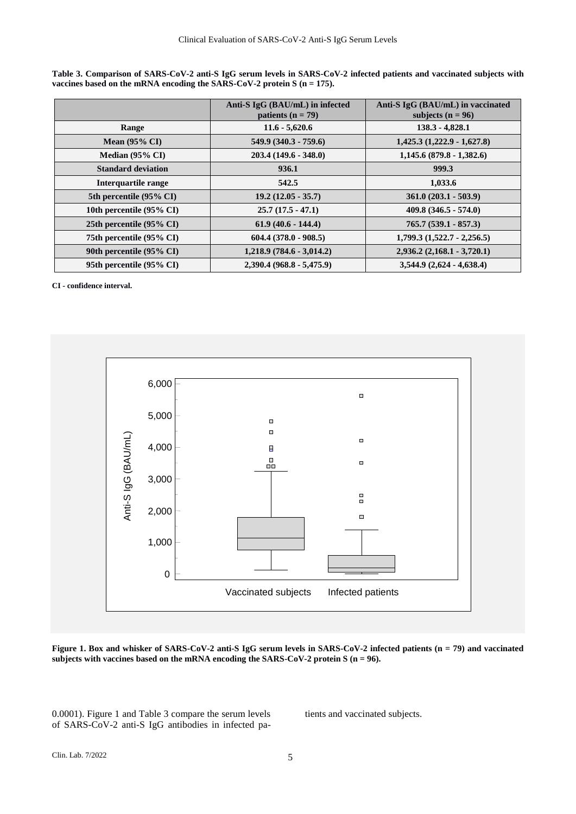**Table 3. Comparison of SARS-CoV-2 anti-S IgG serum levels in SARS-CoV-2 infected patients and vaccinated subjects with vaccines based on the mRNA encoding the SARS-CoV-2 protein S (n = 175).**

|                            | Anti-S IgG (BAU/mL) in infected<br>patients ( $n = 79$ ) | Anti-S IgG (BAU/mL) in vaccinated<br>subjects ( $n = 96$ ) |
|----------------------------|----------------------------------------------------------|------------------------------------------------------------|
| Range                      | $11.6 - 5,620.6$                                         | $138.3 - 4,828.1$                                          |
| Mean $(95\% \text{ CI})$   | $549.9(340.3 - 759.6)$                                   | $1,425.3$ $(1,222.9 - 1,627.8)$                            |
| Median $(95\% \text{ CI})$ | $203.4(149.6 - 348.0)$                                   | $1,145.6$ (879.8 - 1,382.6)                                |
| <b>Standard deviation</b>  | 936.1                                                    | 999.3                                                      |
| Interquartile range        | 542.5                                                    | 1,033.6                                                    |
| 5th percentile (95% CI)    | $19.2(12.05 - 35.7)$                                     | $361.0 (203.1 - 503.9)$                                    |
| 10th percentile (95% CI)   | $25.7(17.5 - 47.1)$                                      | $409.8 (346.5 - 574.0)$                                    |
| 25th percentile (95% CI)   | $61.9(40.6 - 144.4)$                                     | $765.7(539.1 - 857.3)$                                     |
| 75th percentile (95% CI)   | $604.4(378.0 - 908.5)$                                   | $1,799.3$ $(1,522.7 - 2,256.5)$                            |
| 90th percentile (95% CI)   | $1,218.9$ (784.6 - 3,014.2)                              | $2,936.2(2,168.1 - 3,720.1)$                               |
| 95th percentile (95% CI)   | $2,390.4 (968.8 - 5,475.9)$                              | $3,544.9(2,624 - 4,638.4)$                                 |

**CI - confidence interval.**



**Figure 1. Box and whisker of SARS-CoV-2 anti-S IgG serum levels in SARS-CoV-2 infected patients (n = 79) and vaccinated subjects with vaccines based on the mRNA encoding the SARS-CoV-2 protein S (n = 96).**

0.0001). Figure 1 and Table 3 compare the serum levels of SARS-CoV-2 anti-S IgG antibodies in infected patients and vaccinated subjects.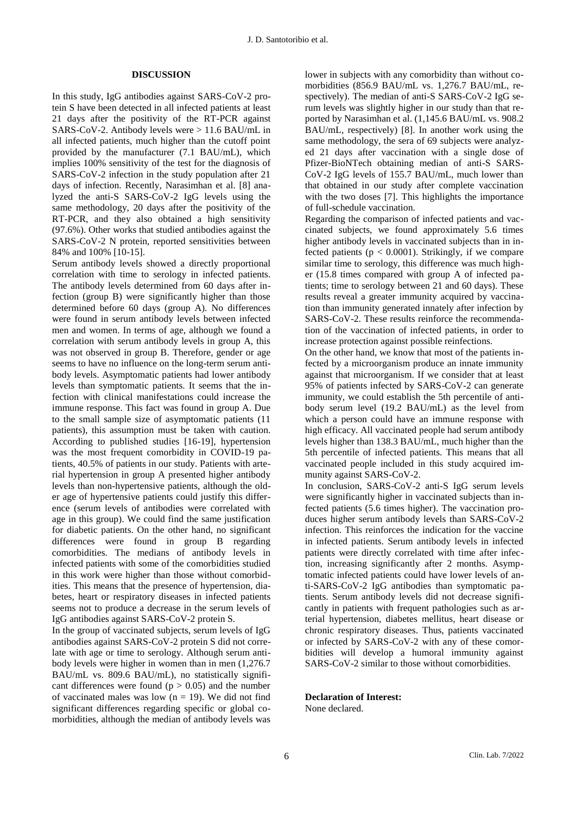## **DISCUSSION**

In this study, IgG antibodies against SARS-CoV-2 protein S have been detected in all infected patients at least 21 days after the positivity of the RT-PCR against SARS-CoV-2. Antibody levels were  $> 11.6$  BAU/mL in all infected patients, much higher than the cutoff point provided by the manufacturer (7.1 BAU/mL), which implies 100% sensitivity of the test for the diagnosis of SARS-CoV-2 infection in the study population after 21 days of infection. Recently, Narasimhan et al. [8] analyzed the anti-S SARS-CoV-2 IgG levels using the same methodology, 20 days after the positivity of the RT-PCR, and they also obtained a high sensitivity (97.6%). Other works that studied antibodies against the SARS-CoV-2 N protein, reported sensitivities between 84% and 100% [10-15].

Serum antibody levels showed a directly proportional correlation with time to serology in infected patients. The antibody levels determined from 60 days after infection (group B) were significantly higher than those determined before 60 days (group A). No differences were found in serum antibody levels between infected men and women. In terms of age, although we found a correlation with serum antibody levels in group A, this was not observed in group B. Therefore, gender or age seems to have no influence on the long-term serum antibody levels. Asymptomatic patients had lower antibody levels than symptomatic patients. It seems that the infection with clinical manifestations could increase the immune response. This fact was found in group A. Due to the small sample size of asymptomatic patients (11 patients), this assumption must be taken with caution. According to published studies [16-19], hypertension was the most frequent comorbidity in COVID-19 patients, 40.5% of patients in our study. Patients with arterial hypertension in group A presented higher antibody levels than non-hypertensive patients, although the older age of hypertensive patients could justify this difference (serum levels of antibodies were correlated with age in this group). We could find the same justification for diabetic patients. On the other hand, no significant differences were found in group B regarding comorbidities. The medians of antibody levels in infected patients with some of the comorbidities studied in this work were higher than those without comorbidities. This means that the presence of hypertension, diabetes, heart or respiratory diseases in infected patients seems not to produce a decrease in the serum levels of IgG antibodies against SARS-CoV-2 protein S.

In the group of vaccinated subjects, serum levels of IgG antibodies against SARS-CoV-2 protein S did not correlate with age or time to serology. Although serum antibody levels were higher in women than in men (1,276.7 BAU/mL vs. 809.6 BAU/mL), no statistically significant differences were found ( $p > 0.05$ ) and the number of vaccinated males was low  $(n = 19)$ . We did not find significant differences regarding specific or global comorbidities, although the median of antibody levels was lower in subjects with any comorbidity than without comorbidities (856.9 BAU/mL vs. 1,276.7 BAU/mL, respectively). The median of anti-S SARS-CoV-2 IgG serum levels was slightly higher in our study than that reported by Narasimhan et al. (1,145.6 BAU/mL vs. 908.2 BAU/mL, respectively) [8]. In another work using the same methodology, the sera of 69 subjects were analyzed 21 days after vaccination with a single dose of Pfizer-BioNTech obtaining median of anti-S SARS-CoV-2 IgG levels of 155.7 BAU/mL, much lower than that obtained in our study after complete vaccination with the two doses [7]. This highlights the importance of full-schedule vaccination.

Regarding the comparison of infected patients and vaccinated subjects, we found approximately 5.6 times higher antibody levels in vaccinated subjects than in infected patients ( $p < 0.0001$ ). Strikingly, if we compare similar time to serology, this difference was much higher (15.8 times compared with group A of infected patients; time to serology between 21 and 60 days). These results reveal a greater immunity acquired by vaccination than immunity generated innately after infection by SARS-CoV-2. These results reinforce the recommendation of the vaccination of infected patients, in order to increase protection against possible reinfections.

On the other hand, we know that most of the patients infected by a microorganism produce an innate immunity against that microorganism. If we consider that at least 95% of patients infected by SARS-CoV-2 can generate immunity, we could establish the 5th percentile of antibody serum level (19.2 BAU/mL) as the level from which a person could have an immune response with high efficacy. All vaccinated people had serum antibody levels higher than 138.3 BAU/mL, much higher than the 5th percentile of infected patients. This means that all vaccinated people included in this study acquired immunity against SARS-CoV-2.

In conclusion, SARS-CoV-2 anti-S IgG serum levels were significantly higher in vaccinated subjects than infected patients (5.6 times higher). The vaccination produces higher serum antibody levels than SARS-CoV-2 infection. This reinforces the indication for the vaccine in infected patients. Serum antibody levels in infected patients were directly correlated with time after infection, increasing significantly after 2 months. Asymptomatic infected patients could have lower levels of anti-SARS-CoV-2 IgG antibodies than symptomatic patients. Serum antibody levels did not decrease significantly in patients with frequent pathologies such as arterial hypertension, diabetes mellitus, heart disease or chronic respiratory diseases. Thus, patients vaccinated or infected by SARS-CoV-2 with any of these comorbidities will develop a humoral immunity against SARS-CoV-2 similar to those without comorbidities.

## **Declaration of Interest:**

None declared.